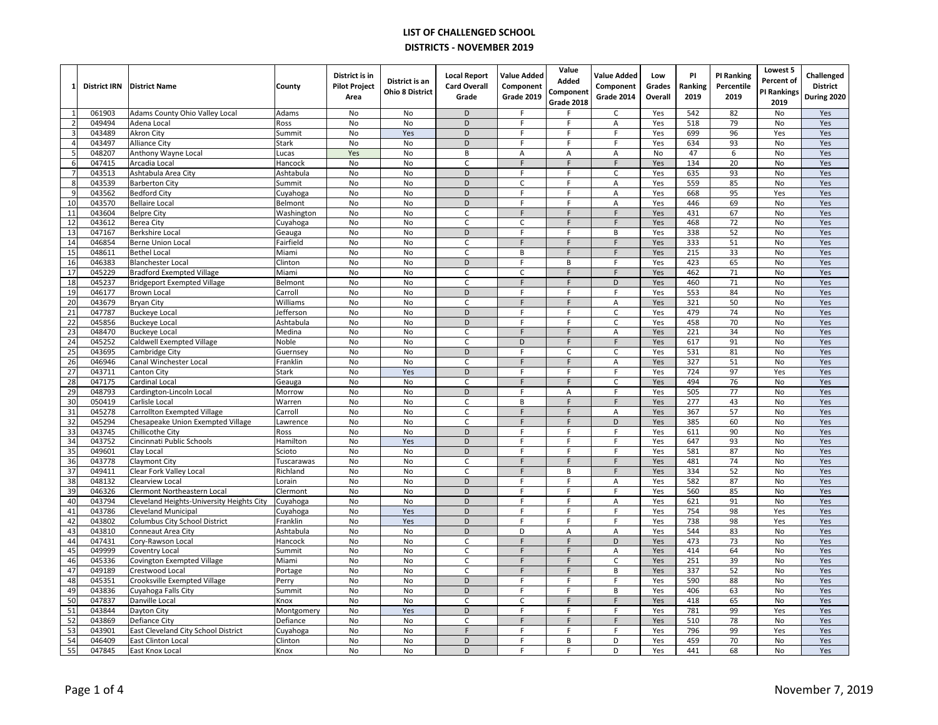|                 | <b>District IRN</b> | <b>District Name</b>                                         | County               | District is in<br><b>Pilot Project</b><br>Area | District is an<br><b>Ohio 8 District</b> | <b>Local Report</b><br><b>Card Overall</b><br>Grade | <b>Value Added</b><br>Component<br><b>Grade 2019</b> | Value<br>Added<br>Component<br>Grade 2018 | <b>Value Added</b><br>Component<br><b>Grade 2014</b> | Low<br>Grades<br>Overall | PI<br>Ranking<br>2019 | <b>PI Ranking</b><br>Percentile<br>2019 | Lowest 5<br>Percent of<br>PI Rankings<br>2019 | Challenged<br><b>District</b><br>During 2020 |
|-----------------|---------------------|--------------------------------------------------------------|----------------------|------------------------------------------------|------------------------------------------|-----------------------------------------------------|------------------------------------------------------|-------------------------------------------|------------------------------------------------------|--------------------------|-----------------------|-----------------------------------------|-----------------------------------------------|----------------------------------------------|
| $\mathbf{1}$    | 061903              | Adams County Ohio Valley Local                               | Adams                | <b>No</b>                                      | <b>No</b>                                | D                                                   | F                                                    |                                           | C                                                    | Yes                      | 542                   | 82                                      | No                                            | Yes                                          |
| $\overline{2}$  | 049494              | Adena Local                                                  | Ross                 | No                                             | No                                       | D                                                   | F.                                                   | F                                         | Α                                                    | Yes                      | 518                   | 79                                      | No                                            | Yes                                          |
| 3               | 043489              | <b>Akron City</b>                                            | Summit               | No                                             | Yes                                      | D                                                   | F                                                    | F                                         | F                                                    | Yes                      | 699                   | 96                                      | Yes                                           | Yes                                          |
| $\overline{a}$  | 043497              | <b>Alliance City</b>                                         | Stark                | No                                             | No                                       | D                                                   | F.                                                   | F                                         | F                                                    | Yes                      | 634                   | 93                                      | No                                            | Yes                                          |
| 5               | 048207              | Anthony Wayne Local                                          | Lucas                | Yes                                            | No                                       | B                                                   | A                                                    | A                                         | A                                                    | No                       | 47                    | 6                                       | No                                            | Yes                                          |
| 6               | 047415              | Arcadia Local                                                | Hancock              | No                                             | No                                       | $\mathsf{C}$                                        | F.                                                   | F                                         | F.                                                   | Yes                      | 134                   | 20                                      | No                                            | Yes                                          |
| $\overline{7}$  | 043513              | Ashtabula Area City                                          | Ashtabula            | No                                             | No                                       | D                                                   | F                                                    | F                                         | C                                                    | Yes                      | 635                   | 93                                      | No                                            | Yes                                          |
| 8               | 043539              | <b>Barberton City</b>                                        | Summit               | No                                             | No                                       | D                                                   | C                                                    | F                                         | Α                                                    | Yes                      | 559                   | 85                                      | No                                            | Yes                                          |
| 9               | 043562              | <b>Bedford City</b>                                          | Cuyahoga             | No                                             | No                                       | D                                                   | F                                                    | F                                         | A                                                    | Yes                      | 668                   | 95                                      | Yes                                           | Yes                                          |
| 10              | 043570              | <b>Bellaire Local</b>                                        | Belmont              | No                                             | No                                       | D                                                   | F                                                    | F                                         | Α                                                    | Yes                      | 446                   | 69                                      | No                                            | Yes                                          |
| 11              | 043604              | <b>Belpre City</b>                                           | Washington           | No                                             | No                                       | C                                                   | F                                                    | F                                         | F                                                    | Yes                      | 431                   | 67                                      | No                                            | Yes                                          |
| 12              | 043612              | Berea City                                                   | Cuyahoga             | No                                             | No                                       | C                                                   | C                                                    | F                                         | F                                                    | Yes                      | 468                   | 72                                      | No                                            | Yes                                          |
| 13              | 047167              | <b>Berkshire Local</b>                                       | Geauga               | No                                             | No                                       | D                                                   | F<br>F                                               | F                                         | B                                                    | Yes                      | 338                   | 52                                      | No                                            | Yes                                          |
| 14              | 046854<br>048611    | Berne Union Local                                            | Fairfield            | No<br>No                                       | No                                       | $\mathsf{C}$<br>C                                   |                                                      | F<br>F                                    | F.<br>F                                              | Yes                      | 333<br>215            | 51                                      | No                                            | Yes                                          |
| 15<br>16        | 046383              | <b>Bethel Local</b>                                          | Miami                | No                                             | No<br>No                                 | D                                                   | B<br>F                                               | B                                         | F.                                                   | Yes                      | 423                   | 33<br>65                                | No<br>No                                      | Yes                                          |
| 17              | 045229              | <b>Blanchester Local</b><br><b>Bradford Exempted Village</b> | Clinton<br>Miami     | No                                             | No                                       | C                                                   | $\mathcal{C}$                                        | F                                         | F                                                    | Yes<br>Yes               | 462                   | 71                                      | No                                            | Yes<br>Yes                                   |
| 18              | 045237              | <b>Bridgeport Exempted Village</b>                           | Belmont              | No                                             | No                                       | C                                                   | F                                                    | F                                         | D                                                    | Yes                      | 460                   | 71                                      | No                                            | Yes                                          |
| 19              | 046177              | <b>Brown Local</b>                                           | Carroll              | <b>No</b>                                      | <b>No</b>                                | D                                                   | E                                                    | F                                         | F                                                    | Yes                      | 553                   | 84                                      | <b>No</b>                                     | Yes                                          |
| 20              | 043679              | <b>Bryan City</b>                                            | Williams             | No                                             | No                                       | C                                                   | F                                                    | F                                         | Α                                                    | Yes                      | 321                   | 50                                      | No                                            | Yes                                          |
| 21              | 047787              | <b>Buckeye Local</b>                                         | Jefferson            | No                                             | No                                       | D                                                   | F                                                    | F                                         | $\mathsf{C}$                                         | Yes                      | 479                   | 74                                      | No                                            | Yes                                          |
| 22              | 045856              | <b>Buckeye Local</b>                                         | Ashtabula            | No                                             | No                                       | D                                                   | F                                                    | F                                         | C                                                    | Yes                      | 458                   | 70                                      | No                                            | Yes                                          |
| 23              | 048470              | <b>Buckeye Local</b>                                         | Medina               | No                                             | No                                       | C                                                   | F                                                    | F                                         | А                                                    | Yes                      | 221                   | 34                                      | No                                            | Yes                                          |
| 24              | 045252              | Caldwell Exempted Village                                    | Noble                | No                                             | <b>No</b>                                | C                                                   | D                                                    | F                                         | F                                                    | Yes                      | 617                   | 91                                      | No                                            | Yes                                          |
| $\overline{25}$ | 043695              | Cambridge City                                               | Guernsey             | No                                             | No                                       | D                                                   | F                                                    | $\mathsf{C}$                              | $\mathsf{C}$                                         | Yes                      | 531                   | 81                                      | No                                            | Yes                                          |
| 26              | 046946              | Canal Winchester Local                                       | Franklin             | No                                             | No                                       | C                                                   | F                                                    | F                                         | Α                                                    | Yes                      | 327                   | 51                                      | No                                            | Yes                                          |
| $\overline{27}$ | 043711              | Canton City                                                  | Stark                | <b>No</b>                                      | Yes                                      | D                                                   | F                                                    | F                                         | F                                                    | Yes                      | 724                   | 97                                      | Yes                                           | Yes                                          |
| 28              | 047175              | Cardinal Local                                               | Geauga               | No                                             | No                                       | C                                                   | F                                                    | F                                         | $\mathsf C$                                          | Yes                      | 494                   | 76                                      | No                                            | Yes                                          |
| 29              | 048793              | Cardington-Lincoln Local                                     | Morrow               | No                                             | No                                       | D                                                   | F                                                    | A                                         | F                                                    | Yes                      | 505                   | 77                                      | No                                            | Yes                                          |
| 30              | 050419              | Carlisle Local                                               | Warren               | No                                             | No                                       | C                                                   | B                                                    | $\mathsf F$                               | F                                                    | Yes                      | 277                   | 43                                      | No                                            | Yes                                          |
| 31              | 045278              | Carrollton Exempted Village                                  | Carroll              | No                                             | No                                       | C                                                   | F                                                    | F                                         | A                                                    | Yes                      | 367                   | 57                                      | No                                            | Yes                                          |
| 32              | 045294              | Chesapeake Union Exempted Village                            | Lawrence             | No                                             | <b>No</b>                                | C                                                   | F                                                    | F                                         | D                                                    | Yes                      | 385                   | 60                                      | No                                            | Yes                                          |
| 33              | 043745              | Chillicothe City                                             | Ross                 | No                                             | No                                       | D<br>$\overline{D}$                                 | F                                                    | F                                         | F                                                    | Yes                      | 611                   | 90                                      | No                                            | Yes                                          |
| 34<br>35        | 043752<br>049601    | Cincinnati Public Schools                                    | Hamilton             | No<br>No                                       | Yes<br>No                                | D                                                   | F<br>F                                               | F<br>F                                    | F.<br>F                                              | Yes<br>Yes               | 647<br>581            | 93<br>87                                | No<br>No                                      | Yes                                          |
| 36              | 043778              | Clay Local                                                   | Scioto<br>Tuscarawas | No                                             | No                                       | C                                                   | F                                                    | F                                         | F                                                    | Yes                      | 481                   | 74                                      | No                                            | Yes<br>Yes                                   |
| 37              | 049411              | Claymont City<br>Clear Fork Valley Local                     | Richland             | No                                             | No                                       | $\mathsf{C}$                                        | E                                                    | B                                         | F                                                    | Yes                      | 334                   | 52                                      | No                                            | Yes                                          |
| 38              | 048132              | Clearview Local                                              | Lorain               | No                                             | No                                       | D                                                   | F                                                    | F                                         | Α                                                    | Yes                      | 582                   | 87                                      | No                                            | Yes                                          |
| 39              | 046326              | Clermont Northeastern Local                                  | Clermont             | No                                             | No                                       | D                                                   | F                                                    | F                                         | F                                                    | Yes                      | 560                   | 85                                      | No                                            | Yes                                          |
| 40              | 043794              | Cleveland Heights-University Heights City                    | Cuyahoga             | <b>No</b>                                      | <b>No</b>                                | D                                                   | F                                                    | F                                         | Α                                                    | Yes                      | 621                   | 91                                      | No                                            | Yes                                          |
| 41              | 043786              | Cleveland Municipal                                          | Cuyahoga             | No                                             | Yes                                      | D                                                   | F                                                    | F                                         | F                                                    | Yes                      | 754                   | 98                                      | Yes                                           | Yes                                          |
| 42              | 043802              | Columbus City School District                                | Franklin             | No                                             | Yes                                      | D                                                   | F                                                    | F.                                        | F.                                                   | Yes                      | 738                   | 98                                      | Yes                                           | Yes                                          |
| 43              | 043810              | Conneaut Area City                                           | Ashtabula            | No                                             | No                                       | D                                                   | D                                                    | A                                         | Α                                                    | Yes                      | 544                   | 83                                      | No                                            | Yes                                          |
| 44              | 047431              | Cory-Rawson Local                                            | Hancock              | No                                             | No                                       | C                                                   | F                                                    | F                                         | $\overline{D}$                                       | Yes                      | 473                   | 73                                      | No                                            | Yes                                          |
| 45              | 049999              | Coventry Local                                               | Summit               | <b>No</b>                                      | <b>No</b>                                | $\mathsf{C}$                                        | F                                                    | F                                         | A                                                    | Yes                      | 414                   | 64                                      | No                                            | Yes                                          |
| 46              | 045336              | Covington Exempted Village                                   | Miami                | No                                             | No                                       | C                                                   | F.                                                   | F                                         | $\mathsf C$                                          | Yes                      | 251                   | 39                                      | No                                            | Yes                                          |
| 47              | 049189              | Crestwood Local                                              | Portage              | No                                             | No                                       | $\overline{C}$                                      | $\overline{F}$                                       | $\overline{F}$                            | В                                                    | Yes                      | 337                   | 52                                      | No                                            | Yes                                          |
| 48              | 045351              | Crooksville Exempted Village                                 | Perry                | No                                             | No                                       | D                                                   | F                                                    | F                                         | F                                                    | Yes                      | 590                   | 88                                      | No                                            | Yes                                          |
| 49              | 043836              | Cuyahoga Falls City                                          | Summit               | N <sub>o</sub>                                 | No                                       | $\overline{D}$                                      | F                                                    | F                                         | B                                                    | Yes                      | 406                   | 63                                      | No                                            | Yes                                          |
| 50              | 047837              | Danville Local                                               | Knox                 | No                                             | No                                       | C                                                   | C                                                    | F                                         | F.                                                   | Yes                      | 418                   | 65                                      | No                                            | Yes                                          |
| 51              | 043844              | Dayton City                                                  | Montgomery           | No                                             | Yes                                      | D                                                   | F                                                    | F                                         | F                                                    | Yes                      | 781                   | 99                                      | Yes                                           | Yes                                          |
| 52              | 043869              | Defiance City                                                | Defiance             | No                                             | No                                       | C<br>F                                              | F<br>F                                               | F<br>F                                    | F<br>F                                               | Yes                      | 510                   | 78                                      | No                                            | Yes                                          |
| 53<br>54        | 043901<br>046409    | East Cleveland City School District                          | Cuyahoga<br>Clinton  | No<br>No                                       | No<br>No                                 | D                                                   | F.                                                   | В                                         | D                                                    | Yes<br>Yes               | 796<br>459            | 99<br>70                                | Yes<br>No                                     | Yes<br>Yes                                   |
| 55              | 047845              | <b>East Clinton Local</b><br>East Knox Local                 | Knox                 | No                                             | No                                       | D                                                   |                                                      | F                                         | D                                                    | Yes                      | 441                   | 68                                      | No                                            | Yes                                          |
|                 |                     |                                                              |                      |                                                |                                          |                                                     |                                                      |                                           |                                                      |                          |                       |                                         |                                               |                                              |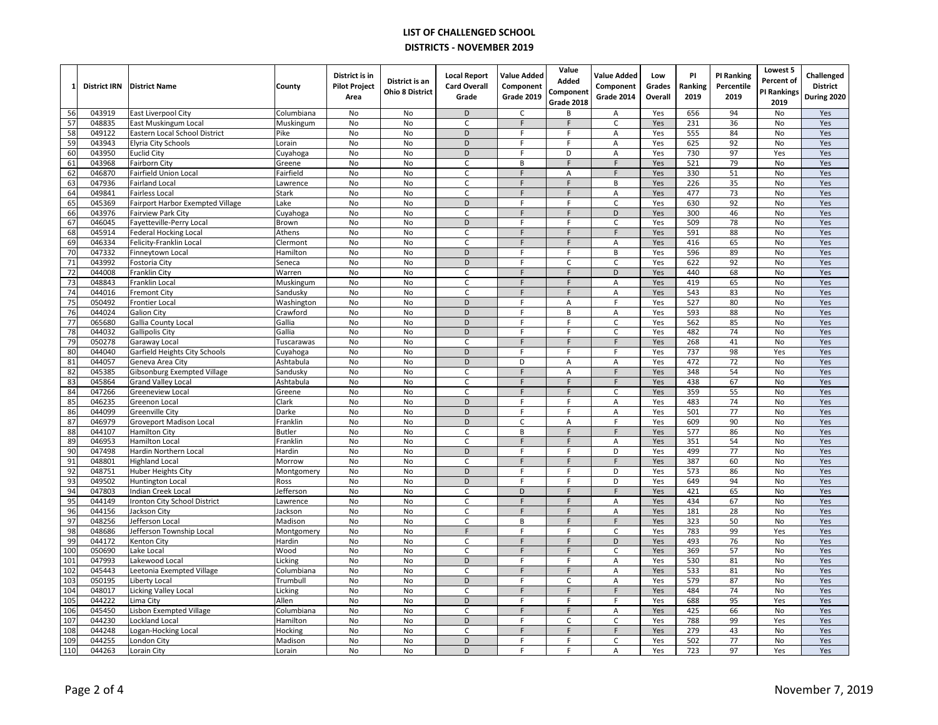| 1               | <b>District IRN</b> | <b>District Name</b>                                  | County            | District is in<br><b>Pilot Project</b><br>Area | District is an<br><b>Ohio 8 District</b> | <b>Local Report</b><br><b>Card Overall</b><br>Grade | <b>Value Added</b><br>Component<br>Grade 2019 | Value<br>Added<br>Component | <b>Value Added</b><br>Component<br>Grade 2014 | Low<br>Grades<br>Overall | PI<br>Ranking<br>2019 | <b>PI Ranking</b><br>Percentile<br>2019 | Lowest 5<br>Percent of<br>PI Rankings | Challenged<br><b>District</b><br>During 2020 |
|-----------------|---------------------|-------------------------------------------------------|-------------------|------------------------------------------------|------------------------------------------|-----------------------------------------------------|-----------------------------------------------|-----------------------------|-----------------------------------------------|--------------------------|-----------------------|-----------------------------------------|---------------------------------------|----------------------------------------------|
|                 |                     |                                                       |                   |                                                |                                          |                                                     |                                               | Grade 2018                  |                                               |                          |                       |                                         | 2019                                  |                                              |
| 56<br>57        | 043919<br>048835    | East Liverpool City                                   | Columbiana        | No                                             | No<br>No                                 | D<br>C                                              | $\mathsf{C}$<br>$\mathsf F$                   | B<br>$\mathsf F$            | A<br>$\mathsf C$                              | Yes<br>Yes               | 656<br>231            | 94<br>36                                | No                                    | Yes                                          |
| 58              | 049122              | East Muskingum Local<br>Eastern Local School District | Muskingum<br>Pike | No<br>No                                       | No                                       | D                                                   | F                                             | F                           | A                                             | Yes                      | 555                   | 84                                      | No<br>No                              | Yes<br>Yes                                   |
| 59              | 043943              | Elyria City Schools                                   | Lorain            | No                                             | <b>No</b>                                | D                                                   | $\mathsf{F}$                                  | E                           | A                                             | Yes                      | 625                   | 92                                      | No                                    | Yes                                          |
| 60              | 043950              | <b>Euclid City</b>                                    | Cuyahoga          | No                                             | No                                       | D                                                   | F                                             | D                           | A                                             | Yes                      | 730                   | 97                                      | Yes                                   | Yes                                          |
| 61              | 043968              | <b>Fairborn City</b>                                  | Greene            | No                                             | No                                       | C                                                   | B                                             | F                           | F                                             | Yes                      | 521                   | 79                                      | No                                    | Yes                                          |
| 62              | 046870              | Fairfield Union Local                                 | Fairfield         | No                                             | No                                       | C                                                   | $\mathsf F$                                   | A                           | F                                             | Yes                      | 330                   | 51                                      | No                                    | Yes                                          |
| 63              | 047936              | <b>Fairland Local</b>                                 | Lawrence          | No                                             | No                                       | C                                                   | F                                             | F                           | В                                             | Yes                      | 226                   | 35                                      | No                                    | Yes                                          |
| 64              | 049841              | Fairless Local                                        | Stark             | No                                             | <b>No</b>                                | C.                                                  | F                                             | F                           | A                                             | Yes                      | 477                   | 73                                      | No                                    | Yes                                          |
| 65              | 045369              | Fairport Harbor Exempted Village                      | .ake              | No                                             | No                                       | D                                                   | F                                             | F                           | $\mathsf C$                                   | Yes                      | 630                   | 92                                      | No                                    | Yes                                          |
| 66              | 043976              | <b>Fairview Park City</b>                             | Cuyahoga          | No                                             | No                                       | C                                                   | F                                             | F                           | D                                             | Yes                      | 300                   | 46                                      | No                                    | Yes                                          |
| 67              | 046045              | Fayetteville-Perry Local                              | Brown             | No                                             | <b>No</b>                                | D                                                   | F                                             | F                           | $\mathsf C$                                   | Yes                      | 509                   | 78                                      | No                                    | Yes                                          |
| 68              | 045914              | <b>Federal Hocking Local</b>                          | Athens            | No                                             | No                                       | $\mathsf C$                                         | E                                             | F                           | F                                             | Yes                      | 591                   | 88                                      | No                                    | Yes                                          |
| 69              | 046334              | Felicity-Franklin Local                               | Clermont          | No                                             | No                                       | C                                                   | F                                             | F                           | Α                                             | Yes                      | 416                   | 65                                      | No                                    | Yes                                          |
| 70              | 047332              | Finneytown Local                                      | Hamilton          | No                                             | No                                       | D                                                   | E                                             | F                           | B                                             | Yes                      | 596                   | 89                                      | No                                    | Yes                                          |
| 71              | 043992              | Fostoria City                                         | Seneca            | No                                             | No                                       | D                                                   | $\overline{F}$                                | $\mathsf{C}$                | $\mathsf C$                                   | Yes                      | 622                   | 92                                      | No                                    | Yes                                          |
| 72              | 044008              | Franklin City                                         | Warren            | No                                             | No                                       | Ċ                                                   | E                                             | F                           | D                                             | Yes                      | 440                   | 68                                      | No                                    | Yes                                          |
| 73              | 048843              | Franklin Local                                        | Muskingum         | No                                             | No                                       | C                                                   | $\mathsf F$                                   | $\mathsf F$                 | Α                                             | Yes                      | 419                   | 65                                      | No                                    | Yes                                          |
| 74              | 044016              | <b>Fremont City</b>                                   | Sandusky          | No                                             | No                                       | $\mathsf C$                                         | F                                             | F                           | A                                             | Yes                      | 543                   | 83                                      | No                                    | Yes                                          |
| 75              | 050492              | <b>Frontier Local</b>                                 | Washington        | No                                             | <b>No</b>                                | D                                                   | F                                             | Α                           | F                                             | Yes                      | 527                   | 80                                      | No                                    | Yes                                          |
| 76              | 044024              | <b>Galion City</b>                                    | Crawford          | No                                             | No                                       | D                                                   | F                                             | B                           | A                                             | Yes                      | 593                   | 88                                      | No                                    | Yes                                          |
| $\overline{77}$ | 065680              | Gallia County Local                                   | Gallia            | No                                             | No                                       | $\overline{D}$                                      | F                                             | $\overline{F}$              | $\overline{C}$                                | Yes                      | 562                   | 85                                      | No                                    | Yes                                          |
| 78              | 044032              | <b>Gallipolis City</b>                                | Gallia            | No                                             | No                                       | $\mathsf D$                                         | F                                             | F                           | $\mathsf C$                                   | Yes                      | 482                   | 74                                      | No                                    | Yes                                          |
| 79              | 050278              | Garaway Local                                         | Tuscarawas        | No                                             | No                                       | $\mathsf C$                                         | F                                             | F                           | F                                             | Yes                      | 268                   | 41                                      | No                                    | Yes                                          |
| 80              | 044040              | Garfield Heights City Schools                         | Cuyahoga          | No                                             | No                                       | D                                                   | F                                             | F                           | F                                             | Yes                      | 737                   | 98                                      | Yes                                   | Yes                                          |
| 81              | 044057              | Geneva Area City                                      | Ashtabula         | No                                             | No                                       | D                                                   | D<br>$\overline{F}$                           | A                           | Α                                             | Yes                      | 472                   | 72                                      | No                                    | Yes                                          |
| 82              | 045385              | Gibsonburg Exempted Village                           | Sandusky          | No                                             | No                                       | $\overline{C}$                                      |                                               | A                           | F                                             | Yes                      | 348                   | 54                                      | No                                    | Yes                                          |
| 83              | 045864              | <b>Grand Valley Local</b>                             | Ashtabula         | No                                             | <b>No</b>                                | $\mathsf{C}$                                        | F<br>$\overline{F}$                           | E                           | F                                             | Yes                      | 438                   | 67                                      | No                                    | Yes                                          |
| 84<br>85        | 047266<br>046235    | Greeneview Local                                      | Greene<br>Clark   | No<br>No                                       | No<br>No                                 | $\overline{C}$<br>D                                 | F                                             | F<br>F                      | $\mathsf C$                                   | Yes<br>Yes               | 359<br>483            | 55<br>74                                | No<br>No                              | Yes<br>Yes                                   |
| 86              | 044099              | Greenon Local<br>Greenville City                      | Darke             | No                                             | No                                       | D                                                   | F                                             | F                           | Α<br>A                                        | Yes                      | 501                   | 77                                      | No                                    | Yes                                          |
| 87              | 046979              | <b>Groveport Madison Local</b>                        | Franklin          | No                                             | No                                       | $\mathsf D$                                         | $\overline{c}$                                | A                           | F                                             | Yes                      | 609                   | 90                                      | No                                    | Yes                                          |
| 88              | 044107              | <b>Hamilton City</b>                                  | <b>Butler</b>     | <b>No</b>                                      | <b>No</b>                                | $\overline{C}$                                      | B                                             | F                           | F                                             | Yes                      | 577                   | 86                                      | No                                    | Yes                                          |
| 89              | 046953              | Hamilton Local                                        | Franklin          | No                                             | No                                       | $\mathsf C$                                         | $\mathsf F$                                   | $\mathsf{F}$                | Α                                             | Yes                      | 351                   | 54                                      | No                                    | Yes                                          |
| 90              | 047498              | Hardin Northern Local                                 | Hardin            | No                                             | No                                       | D                                                   | F                                             | F                           | D                                             | Yes                      | 499                   | $\overline{77}$                         | No                                    | Yes                                          |
| 91              | 048801              | <b>Highland Local</b>                                 | Morrow            | No                                             | <b>No</b>                                | $\mathsf{C}$                                        | $\mathsf{F}$                                  | F                           | F                                             | Yes                      | 387                   | 60                                      | No                                    | Yes                                          |
| 92              | 048751              | Huber Heights City                                    | Montgomery        | No                                             | No                                       | $\overline{D}$                                      | F                                             | F                           | D                                             | Yes                      | 573                   | 86                                      | No                                    | Yes                                          |
| 93              | 049502              | Huntington Local                                      | Ross              | No                                             | No                                       | D                                                   | $\mathsf{F}$                                  | F.                          | D                                             | Yes                      | 649                   | 94                                      | No                                    | Yes                                          |
| 94              | 047803              | Indian Creek Local                                    | Jefferson         | <b>No</b>                                      | <b>No</b>                                | $\mathsf{C}$                                        | D                                             | F                           | F                                             | Yes                      | 421                   | 65                                      | <b>No</b>                             | Yes                                          |
| 95              | 044149              | Ironton City School District                          | Lawrence          | No                                             | No                                       | C                                                   | $\mathsf F$                                   | F                           | Α                                             | Yes                      | 434                   | 67                                      | No                                    | Yes                                          |
| 96              | 044156              | Jackson City                                          | lackson           | <b>No</b>                                      | <b>No</b>                                | $\mathsf{C}$                                        | F                                             | F                           | A                                             | Yes                      | 181                   | 28                                      | No                                    | Yes                                          |
| 97              | 048256              | Jefferson Local                                       | Madison           | No                                             | No                                       | C                                                   | B                                             | $\mathsf F$                 | $\mathsf F$                                   | Yes                      | 323                   | 50                                      | No                                    | Yes                                          |
| 98              | 048686              | Jefferson Township Local                              | Montgomery        | No                                             | <b>No</b>                                | F                                                   | F                                             | F                           | $\mathsf{C}$                                  | Yes                      | 783                   | 99                                      | Yes                                   | Yes                                          |
| 99              | 044172              | Kenton City                                           | Hardin            | No                                             | <b>No</b>                                | C                                                   | F                                             | F                           | D                                             | Yes                      | 493                   | 76                                      | No                                    | Yes                                          |
| 100             | 050690              | Lake Local                                            | Wood              | No                                             | No                                       | $\overline{C}$                                      | $\mathsf F$                                   | F                           | $\overline{C}$                                | Yes                      | 369                   | 57                                      | No                                    | Yes                                          |
| 101             | 047993              | Lakewood Local                                        | Licking           | No                                             | No                                       | D                                                   | F                                             | F                           | A                                             | Yes                      | 530                   | 81                                      | No                                    | Yes                                          |
| 102             | 045443              | Leetonia Exempted Village                             | Columbiana        | <b>No</b>                                      | <b>No</b>                                | $\mathsf{C}$                                        | F                                             | F                           | Α                                             | Yes                      | 533                   | 81                                      | <b>No</b>                             | Yes                                          |
| 103             | 050195              | Liberty Local                                         | Trumbull          | No                                             | No                                       | $\mathsf D$                                         | $\mathsf F$                                   | C                           | A                                             | Yes                      | 579                   | 87                                      | No                                    | Yes                                          |
| 104             | 048017              | Licking Valley Local                                  | Licking           | <b>No</b>                                      | <b>No</b>                                | C                                                   | F                                             | F                           | $\overline{F}$                                | Yes                      | 484                   | 74                                      | No                                    | Yes                                          |
| 105             | 044222              | Lima City                                             | Allen             | No                                             | <b>No</b>                                | D                                                   | F.                                            | F.                          | F                                             | Yes                      | 688                   | 95                                      | Yes                                   | Yes                                          |
| 106             | 045450              | Lisbon Exempted Village                               | Columbiana        | No                                             | <b>No</b>                                | $\mathsf{C}$                                        | $\mathsf F$                                   | F                           | Α                                             | Yes                      | 425                   | 66                                      | No                                    | Yes                                          |
| 107             | 044230              | ockland Local                                         | Hamilton          | No                                             | <b>No</b>                                | D                                                   | F.                                            | C                           | $\mathsf C$                                   | Yes                      | 788                   | 99                                      | Yes                                   | Yes                                          |
| 108             | 044248              | Logan-Hocking Local                                   | Hocking           | No                                             | No                                       | $\mathsf{C}$                                        | F.                                            | F.                          | F                                             | Yes                      | 279                   | 43                                      | No                                    | Yes                                          |
| 109             | 044255              | London City                                           | Madison           | No                                             | No                                       | $\mathsf D$                                         | F                                             | F                           | $\mathsf C$                                   | Yes                      | 502                   | $\overline{77}$                         | No                                    | Yes                                          |
| 110             | 044263              | Lorain City                                           | Lorain            | No                                             | No                                       | D                                                   | F                                             | F                           | A                                             | Yes                      | 723                   | 97                                      | Yes                                   | Yes                                          |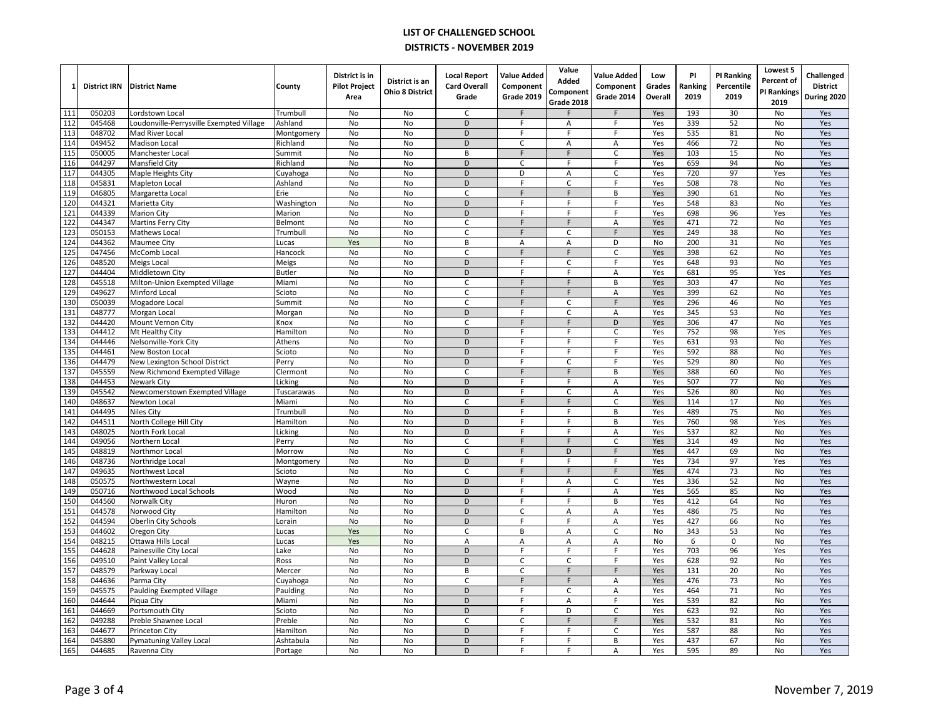| 1               | <b>District IRN</b> | <b>District Name</b>                                        | County                | District is in<br><b>Pilot Project</b><br>Area | District is an<br><b>Ohio 8 District</b> | <b>Local Report</b><br><b>Card Overall</b><br>Grade | <b>Value Added</b><br>Component<br>Grade 2019 | Value<br>Added<br>Component | <b>Value Added</b><br>Component<br>Grade 2014 | Low<br>Grades<br>Overall | PI<br>Ranking<br>2019 | <b>PI Ranking</b><br>Percentile<br>2019 | Lowest 5<br>Percent of<br>PI Rankings | Challenged<br><b>District</b><br>During 2020 |
|-----------------|---------------------|-------------------------------------------------------------|-----------------------|------------------------------------------------|------------------------------------------|-----------------------------------------------------|-----------------------------------------------|-----------------------------|-----------------------------------------------|--------------------------|-----------------------|-----------------------------------------|---------------------------------------|----------------------------------------------|
|                 |                     |                                                             |                       |                                                |                                          |                                                     |                                               | Grade 2018                  |                                               |                          |                       |                                         | 2019                                  |                                              |
| 111             | 050203              | Lordstown Local                                             | Trumbull              | No                                             | <b>No</b>                                | $\mathsf{C}$                                        | E                                             |                             | F                                             | Yes                      | 193                   | 30                                      | No                                    | Yes                                          |
| 112<br>113      | 045468<br>048702    | Loudonville-Perrysville Exempted Village<br>Mad River Local | Ashland<br>Montgomery | No<br>No                                       | No<br>No                                 | D<br>D                                              | F<br>F                                        | Α<br>F                      | F<br>F                                        | Yes<br>Yes               | 339<br>535            | 52<br>81                                | No<br>No                              | Yes<br>Yes                                   |
| 114             | 049452              | <b>Madison Local</b>                                        | Richland              | No                                             | <b>No</b>                                | D                                                   | $\mathsf{C}$                                  | A                           | Α                                             | Yes                      | 466                   | 72                                      | No                                    | Yes                                          |
| 115             | 050005              | Manchester Local                                            | Summit                | No                                             | No                                       | В                                                   | $\mathsf F$                                   | F                           | $\mathsf{C}$                                  | Yes                      | 103                   | 15                                      | No                                    | Yes                                          |
| 116             | 044297              | Mansfield City                                              | Richland              | No                                             | No                                       | D                                                   | $\mathsf C$                                   | F                           | F                                             | Yes                      | 659                   | 94                                      | No                                    | Yes                                          |
| 117             | 044305              | Maple Heights City                                          | Cuyahoga              | No                                             | No                                       | D                                                   | D                                             | A                           | $\mathsf{C}$                                  | Yes                      | 720                   | 97                                      | Yes                                   | Yes                                          |
| 118             | 045831              | Mapleton Local                                              | Ashland               | No                                             | No                                       | $\mathsf D$                                         | $\overline{F}$                                | $\mathsf{C}$                | F                                             | Yes                      | 508                   | 78                                      | No                                    | Yes                                          |
| 119             | 046805              | Margaretta Local                                            | Erie                  | No                                             | <b>No</b>                                | Ċ                                                   | E                                             | F                           | B                                             | Yes                      | 390                   | 61                                      | No                                    | Yes                                          |
| 120             | 044321              | Marietta City                                               | Washington            | No                                             | No                                       | D                                                   | F                                             | F                           | F                                             | Yes                      | 548                   | 83                                      | No                                    | Yes                                          |
| 121             | 044339              | <b>Marion City</b>                                          | Marion                | No                                             | No                                       | D                                                   | F                                             | F                           | F                                             | Yes                      | 698                   | 96                                      | Yes                                   | Yes                                          |
| 122             | 044347              | <b>Martins Ferry City</b>                                   | Belmont               | No                                             | <b>No</b>                                | C.                                                  | F                                             | F                           | A                                             | Yes                      | 471                   | 72                                      | No                                    | Yes                                          |
| 123             | 050153              | Mathews Local                                               | Trumbull              | No                                             | No                                       | $\mathsf C$                                         | F                                             | $\mathsf{C}$                | F                                             | Yes                      | 249                   | 38                                      | No                                    | Yes                                          |
| 124             | 044362              | Maumee City                                                 | Lucas                 | Yes                                            | No                                       | В                                                   | A                                             | A                           | D                                             | No                       | 200                   | 31                                      | No                                    | Yes                                          |
| 125             | 047456              | McComb Local                                                | Hancock               | No                                             | No                                       | C                                                   | F                                             | $\mathsf F$                 | $\mathsf{C}$                                  | Yes                      | 398                   | 62                                      | No                                    | Yes                                          |
| 126             | 048520              | Meigs Local                                                 | Meigs                 | No                                             | No                                       | D                                                   | $\mathsf{F}$                                  | $\mathsf{C}$                | F                                             | Yes                      | 648                   | 93                                      | No                                    | Yes                                          |
| 127             | 044404              | Middletown City                                             | <b>Butler</b>         | No                                             | No                                       | D                                                   | E                                             | F                           | A                                             | Yes                      | 681                   | 95                                      | Yes                                   | Yes                                          |
| 128             | 045518              | Milton-Union Exempted Village                               | Miami                 | No                                             | No                                       | C                                                   | $\mathsf F$                                   | $\mathsf F$                 | B                                             | Yes                      | 303                   | 47                                      | No                                    | Yes                                          |
| 129             | 049627              | Minford Local                                               | Scioto                | No                                             | No                                       | C                                                   | F                                             | F                           | A                                             | Yes                      | 399                   | 62                                      | No                                    | Yes                                          |
| 130             | 050039              | Mogadore Local                                              | Summit                | No                                             | <b>No</b>                                | C                                                   | F                                             | C                           | F                                             | Yes                      | 296                   | 46                                      | No                                    | Yes                                          |
| 131             | 048777              | Morgan Local                                                | Morgan                | No                                             | No                                       | D                                                   | F                                             | $\mathsf{C}$                | A                                             | Yes                      | 345                   | 53                                      | No                                    | Yes                                          |
| 132             | 044420              | Mount Vernon City                                           | Knox                  | No                                             | No                                       | C                                                   | $\overline{F}$                                | $\overline{F}$              | $\overline{D}$                                | Yes                      | 306                   | 47                                      | No                                    | Yes                                          |
| 133             | 044412              | Mt Healthy City                                             | Hamilton              | No                                             | No                                       | D                                                   | F                                             | F                           | $\mathsf C$                                   | Yes                      | 752                   | 98                                      | Yes                                   | Yes                                          |
| 134             | 044446              | Nelsonville-York City                                       | Athens                | No                                             | No                                       | $\mathsf D$                                         | $\mathsf F$                                   | F                           | F                                             | Yes                      | 631                   | 93                                      | No                                    | Yes                                          |
| 135             | 044461              | New Boston Local                                            | Scioto                | No                                             | No                                       | D                                                   | F                                             | F                           | F                                             | Yes                      | 592                   | 88                                      | No                                    | Yes                                          |
| 136             | 044479              | New Lexington School District                               | Perry                 | No                                             | No                                       | D                                                   | $\mathsf F$                                   | $\mathsf C$                 | F                                             | Yes                      | 529                   | 80                                      | No                                    | Yes                                          |
| 137             | 045559              | New Richmond Exempted Village                               | Clermont              | No                                             | No                                       | $\overline{C}$                                      | F                                             | $\mathsf F$                 | B                                             | Yes                      | 388                   | 60                                      | No                                    | Yes                                          |
| 138             | 044453              | Newark City                                                 | Licking               | No                                             | <b>No</b>                                | D                                                   | $\mathsf{F}$                                  | F                           | Α                                             | Yes                      | 507                   | 77                                      | No                                    | Yes                                          |
| 139<br>140      | 045542              | Newcomerstown Exempted Village                              | Tuscarawas            | No                                             | No                                       | D                                                   | F<br>F                                        | C                           | A<br>$\overline{C}$                           | Yes                      | 526<br>114            | 80<br>17                                | No                                    | Yes                                          |
|                 | 048637              | Newton Local                                                | Miami                 | No                                             | No                                       | C                                                   | F                                             | $\mathsf F$<br>F            | B                                             | Yes                      |                       |                                         | No                                    | Yes                                          |
| 141<br>142      | 044495<br>044511    | Niles City                                                  | Trumbull<br>Hamilton  | No<br>No                                       | No<br>No                                 | D<br>$\mathsf D$                                    | $\mathsf{F}$                                  | F                           | B                                             | Yes<br>Yes               | 489<br>760            | 75<br>98                                | No<br>Yes                             | Yes<br>Yes                                   |
| 143             | 048025              | North College Hill City<br>North Fork Local                 | Licking               | <b>No</b>                                      | <b>No</b>                                | D                                                   | F                                             | F                           | A                                             | Yes                      | 537                   | 82                                      | No                                    | Yes                                          |
| 144             | 049056              | Northern Local                                              | Perry                 | No                                             | No                                       | C                                                   | $\mathsf F$                                   | $\mathsf F$                 | $\mathsf C$                                   | Yes                      | 314                   | 49                                      | No                                    | Yes                                          |
| $\frac{145}{2}$ | 048819              | Northmor Local                                              | Morrow                | No                                             | No                                       | $\mathsf C$                                         | F                                             | D                           | F                                             | Yes                      | 447                   | 69                                      | No                                    | Yes                                          |
| 146             | 048736              | Northridge Local                                            | Montgomery            | No                                             | <b>No</b>                                | D                                                   | $\mathsf{F}$                                  | F                           | F                                             | Yes                      | 734                   | 97                                      | Yes                                   | Yes                                          |
| 147             | 049635              | Northwest Local                                             | Scioto                | No                                             | No                                       | C                                                   | F                                             | $\mathsf F$                 | F                                             | Yes                      | 474                   | 73                                      | No                                    | Yes                                          |
| 148             | 050575              | Northwestern Local                                          | Wayne                 | No                                             | No                                       | D                                                   | F                                             | A                           | $\mathsf C$                                   | Yes                      | 336                   | 52                                      | No                                    | Yes                                          |
| 149             | 050716              | Northwood Local Schools                                     | Wood                  | <b>No</b>                                      | <b>No</b>                                | D                                                   | F                                             | F                           | Α                                             | Yes                      | 565                   | 85                                      | <b>No</b>                             | Yes                                          |
| 150             | 044560              | Norwalk City                                                | Huron                 | No                                             | No                                       | $\mathsf D$                                         | $\mathsf F$                                   | F                           | B                                             | Yes                      | 412                   | 64                                      | No                                    | Yes                                          |
| 151             | 044578              | Norwood City                                                | Hamilton              | <b>No</b>                                      | <b>No</b>                                | D                                                   | $\mathsf C$                                   | A                           | A                                             | Yes                      | 486                   | 75                                      | No                                    | Yes                                          |
| 152             | 044594              | Oberlin City Schools                                        | Lorain                | No                                             | No                                       | $\mathsf D$                                         | $\mathsf F$                                   | F                           | Α                                             | Yes                      | 427                   | 66                                      | No                                    | Yes                                          |
| 153             | 044602              | Oregon City                                                 | Lucas                 | Yes                                            | <b>No</b>                                | $\mathsf C$                                         | B                                             | A                           | $\mathsf{C}$                                  | No                       | 343                   | 53                                      | <b>No</b>                             | Yes                                          |
| 154             | 048215              | Ottawa Hills Local                                          | Lucas                 | Yes                                            | <b>No</b>                                | A                                                   | A                                             | A                           | Α                                             | No                       | 6                     | 0                                       | No                                    | Yes                                          |
| 155             | 044628              | Painesville City Local                                      | Lake                  | No                                             | No                                       | D                                                   | $\overline{F}$                                | F                           | F                                             | Yes                      | 703                   | 96                                      | Yes                                   | Yes                                          |
| 156             | 049510              | Paint Valley Local                                          | Ross                  | No                                             | No                                       | D                                                   | $\mathsf{C}$                                  | $\mathsf C$                 | $\mathsf F$                                   | Yes                      | 628                   | 92                                      | No                                    | Yes                                          |
| 157             | 048579              | Parkway Local                                               | Mercer                | <b>No</b>                                      | <b>No</b>                                | B                                                   | $\mathsf{C}$                                  | F                           | F                                             | Yes                      | 131                   | 20                                      | <b>No</b>                             | Yes                                          |
| 158             | 044636              | Parma City                                                  | Cuyahoga              | No                                             | No                                       | $\mathsf C$                                         | $\mathsf F$                                   | F                           | Α                                             | Yes                      | 476                   | 73                                      | No                                    | Yes                                          |
| 159             | 045575              | Paulding Exempted Village                                   | Paulding              | <b>No</b>                                      | <b>No</b>                                | D                                                   | $\overline{F}$                                | C                           | А                                             | Yes                      | 464                   | $\overline{71}$                         | No                                    | Yes                                          |
| 160             | 044644              | Piqua City                                                  | Miami                 | No                                             | <b>No</b>                                | D                                                   | F                                             | А                           | F                                             | Yes                      | 539                   | 82                                      | No                                    | Yes                                          |
| 161             | 044669              | Portsmouth City                                             | Scioto                | No                                             | <b>No</b>                                | D                                                   | F                                             | D                           | $\mathsf{C}$                                  | Yes                      | 623                   | 92                                      | No                                    | Yes                                          |
| 162             | 049288              | Preble Shawnee Local                                        | Preble                | No                                             | <b>No</b>                                | C                                                   | $\mathsf{C}$                                  | F                           | F                                             | Yes                      | 532                   | 81                                      | No                                    | Yes                                          |
| 163             | 044677              | Princeton City                                              | Hamilton              | No                                             | No                                       | D                                                   | F                                             | F                           | $\mathsf C$                                   | Yes                      | 587                   | 88                                      | No                                    | Yes                                          |
| 164             | 045880              | <b>Pymatuning Valley Local</b>                              | Ashtabula             | No                                             | No                                       | $\mathsf D$                                         | $\overline{F}$                                | F                           | B                                             | Yes                      | 437                   | 67                                      | No                                    | Yes                                          |
| 165             | 044685              | Ravenna City                                                | Portage               | No                                             | No                                       | D                                                   | F                                             | F                           | A                                             | Yes                      | 595                   | 89                                      | No                                    | Yes                                          |